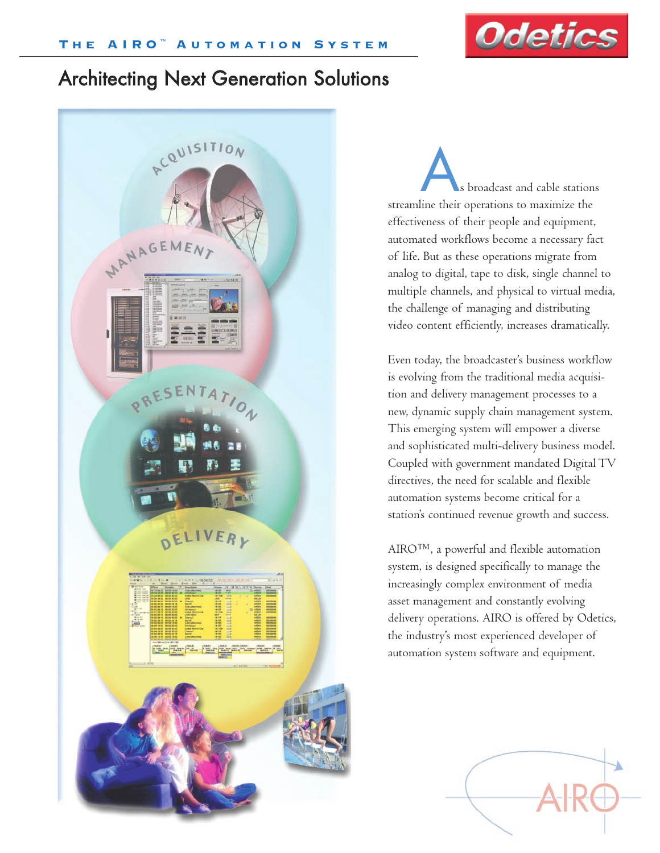

# Architecting Next Generation Solutions



s broadcast and cable stations streamline their operations to maximize the effectiveness of their people and equipment, automated workflows become a necessary fact of life. But as these operations migrate from analog to digital, tape to disk, single channel to multiple channels, and physical to virtual media, the challenge of managing and distributing video content efficiently, increases dramatically.

Even today, the broadcaster's business workflow is evolving from the traditional media acquisition and delivery management processes to a new, dynamic supply chain management system. This emerging system will empower a diverse and sophisticated multi-delivery business model. Coupled with government mandated Digital TV directives, the need for scalable and flexible automation systems become critical for a station's continued revenue growth and success.

AIRO™, a powerful and flexible automation system, is designed specifically to manage the increasingly complex environment of media asset management and constantly evolving delivery operations. AIRO is offered by Odetics, the industry's most experienced developer of automation system software and equipment.

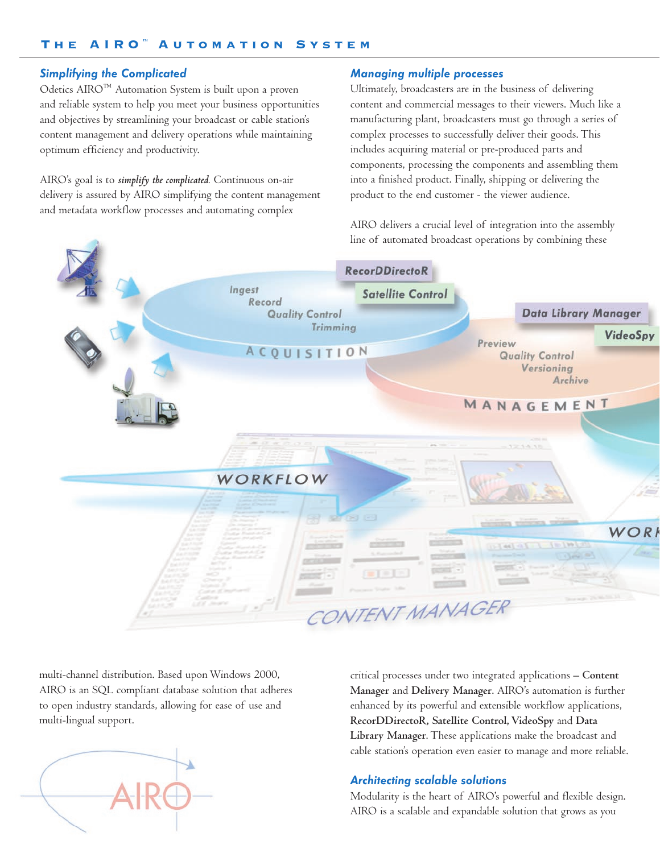# Simplifying the Complicated

Odetics AIRO™ Automation System is built upon a proven and reliable system to help you meet your business opportunities and objectives by streamlining your broadcast or cable station's content management and delivery operations while maintaining optimum efficiency and productivity.

AIRO's goal is to *simplify the complicated.* Continuous on-air delivery is assured by AIRO simplifying the content management and metadata workflow processes and automating complex

## Managing multiple processes

Ultimately, broadcasters are in the business of delivering content and commercial messages to their viewers. Much like a manufacturing plant, broadcasters must go through a series of complex processes to successfully deliver their goods. This includes acquiring material or pre-produced parts and components, processing the components and assembling them into a finished product. Finally, shipping or delivering the product to the end customer - the viewer audience.

AIRO delivers a crucial level of integration into the assembly line of automated broadcast operations by combining these



multi-channel distribution. Based upon Windows 2000, AIRO is an SQL compliant database solution that adheres to open industry standards, allowing for ease of use and multi-lingual support.

critical processes under two integrated applications – **Content Manager** and **Delivery Manager**. AIRO's automation is further enhanced by its powerful and extensible workflow applications, **RecorDDirectoR, Satellite Control, VideoSpy** and **Data Library Manager**. These applications make the broadcast and cable station's operation even easier to manage and more reliable.

# Architecting scalable solutions

Modularity is the heart of AIRO's powerful and flexible design. AIRO is a scalable and expandable solution that grows as you

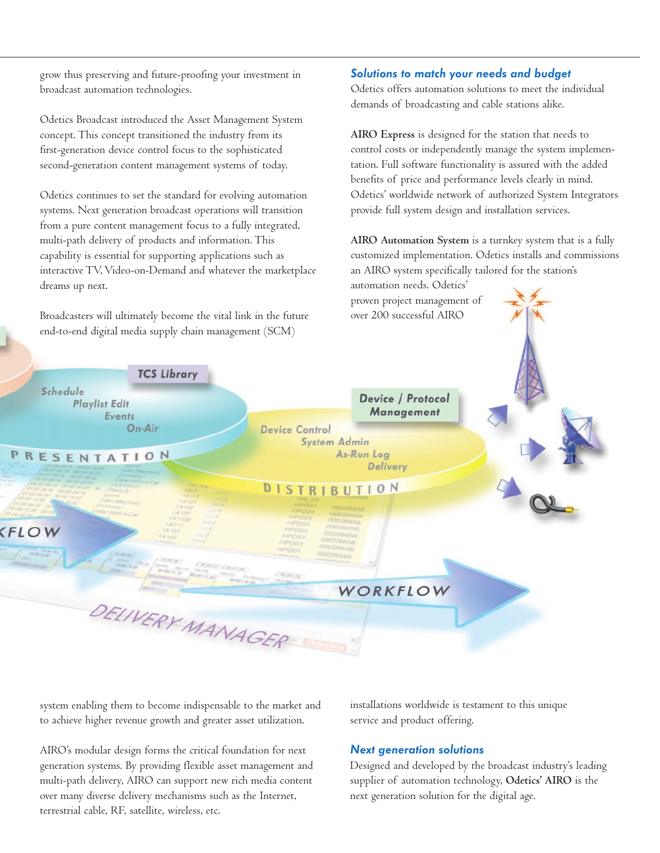grow thus preserving and future-proofing your investment in broadcast automation technologies.

Odetics Broadcast introduced the Asset Management System concept. This concept transitioned the industry from its first-generation device control focus to the sophisticated second-generation content management systems of today.

Odetics continues to set the standard for evolving automation systems. Next generation broadcast operations will transition from a pure content management focus to a fully integrated, multi-path delivery of products and information. This capability is essential for supporting applications such as interactive TV, Video-on-Demand and whatever the marketplace dreams up next.

Broadcasters will ultimately become the vital link in the future end-to-end digital media supply chain management (SCM)

#### Solutions to match your needs and budget

Odetics offers automation solutions to meet the individual demands of broadcasting and cable stations alike.

**AIRO Express** is designed for the station that needs to control costs or independently manage the system implementation. Full software functionality is assured with the added benefits of price and performance levels clearly in mind. Odetics' worldwide network of authorized System Integrators provide full system design and installation services.

**AIRO Automation System** is a turnkey system that is a fully customized implementation. Odetics installs and commissions an AIRO system specifically tailored for the station's

automation needs. Odetics' proven project management of over 200 successful AIRO



system enabling them to become indispensable to the market and to achieve higher revenue growth and greater asset utilization.

AIRO's modular design forms the critical foundation for next generation systems. By providing flexible asset management and multi-path delivery, AIRO can support new rich media content over many diverse delivery mechanisms such as the Internet, terrestrial cable, RF, satellite, wireless, etc.

installations worldwide is testament to this unique service and product offering.

# Next generation solutions

Designed and developed by the broadcast industry's leading supplier of automation technology, **Odetics' AIRO** is the next generation solution for the digital age.